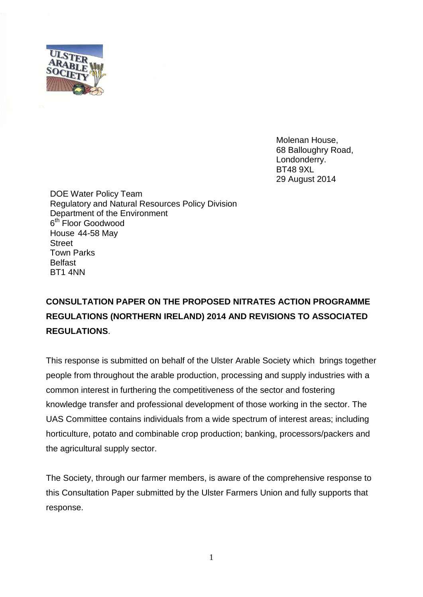

Molenan House, 68 Balloughry Road, Londonderry. BT48 9XL 29 August 2014

DOE Water Policy Team Regulatory and Natural Resources Policy Division Department of the Environment 6<sup>th</sup> Floor Goodwood House 44-58 May **Street** Town Parks Belfast BT1 4NN

## **CONSULTATION PAPER ON THE PROPOSED NITRATES ACTION PROGRAMME REGULATIONS (NORTHERN IRELAND) 2014 AND REVISIONS TO ASSOCIATED REGULATIONS**.

This response is submitted on behalf of the Ulster Arable Society which brings together people from throughout the arable production, processing and supply industries with a common interest in furthering the competitiveness of the sector and fostering knowledge transfer and professional development of those working in the sector. The UAS Committee contains individuals from a wide spectrum of interest areas; including horticulture, potato and combinable crop production; banking, processors/packers and the agricultural supply sector.

The Society, through our farmer members, is aware of the comprehensive response to this Consultation Paper submitted by the Ulster Farmers Union and fully supports that response.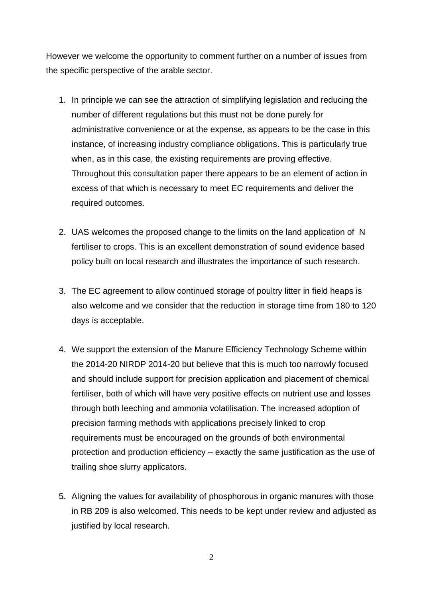However we welcome the opportunity to comment further on a number of issues from the specific perspective of the arable sector.

- 1. In principle we can see the attraction of simplifying legislation and reducing the number of different regulations but this must not be done purely for administrative convenience or at the expense, as appears to be the case in this instance, of increasing industry compliance obligations. This is particularly true when, as in this case, the existing requirements are proving effective. Throughout this consultation paper there appears to be an element of action in excess of that which is necessary to meet EC requirements and deliver the required outcomes.
- 2. UAS welcomes the proposed change to the limits on the land application of N fertiliser to crops. This is an excellent demonstration of sound evidence based policy built on local research and illustrates the importance of such research.
- 3. The EC agreement to allow continued storage of poultry litter in field heaps is also welcome and we consider that the reduction in storage time from 180 to 120 days is acceptable.
- 4. We support the extension of the Manure Efficiency Technology Scheme within the 2014-20 NIRDP 2014-20 but believe that this is much too narrowly focused and should include support for precision application and placement of chemical fertiliser, both of which will have very positive effects on nutrient use and losses through both leeching and ammonia volatilisation. The increased adoption of precision farming methods with applications precisely linked to crop requirements must be encouraged on the grounds of both environmental protection and production efficiency – exactly the same justification as the use of trailing shoe slurry applicators.
- 5. Aligning the values for availability of phosphorous in organic manures with those in RB 209 is also welcomed. This needs to be kept under review and adjusted as justified by local research.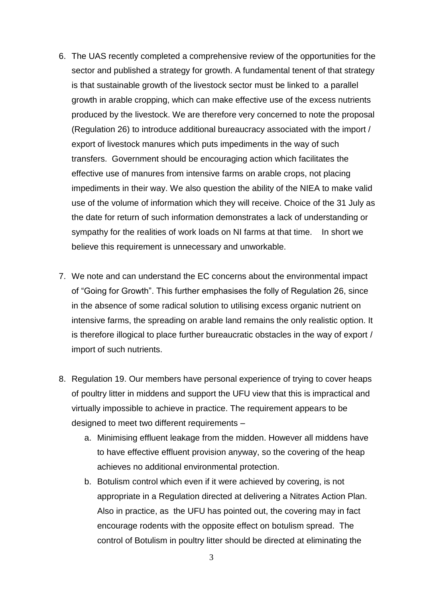- 6. The UAS recently completed a comprehensive review of the opportunities for the sector and published a strategy for growth. A fundamental tenent of that strategy is that sustainable growth of the livestock sector must be linked to a parallel growth in arable cropping, which can make effective use of the excess nutrients produced by the livestock. We are therefore very concerned to note the proposal (Regulation 26) to introduce additional bureaucracy associated with the import / export of livestock manures which puts impediments in the way of such transfers. Government should be encouraging action which facilitates the effective use of manures from intensive farms on arable crops, not placing impediments in their way. We also question the ability of the NIEA to make valid use of the volume of information which they will receive. Choice of the 31 July as the date for return of such information demonstrates a lack of understanding or sympathy for the realities of work loads on NI farms at that time. In short we believe this requirement is unnecessary and unworkable.
- 7. We note and can understand the EC concerns about the environmental impact of "Going for Growth". This further emphasises the folly of Regulation 26, since in the absence of some radical solution to utilising excess organic nutrient on intensive farms, the spreading on arable land remains the only realistic option. It is therefore illogical to place further bureaucratic obstacles in the way of export / import of such nutrients.
- 8. Regulation 19. Our members have personal experience of trying to cover heaps of poultry litter in middens and support the UFU view that this is impractical and virtually impossible to achieve in practice. The requirement appears to be designed to meet two different requirements –
	- a. Minimising effluent leakage from the midden. However all middens have to have effective effluent provision anyway, so the covering of the heap achieves no additional environmental protection.
	- b. Botulism control which even if it were achieved by covering, is not appropriate in a Regulation directed at delivering a Nitrates Action Plan. Also in practice, as the UFU has pointed out, the covering may in fact encourage rodents with the opposite effect on botulism spread. The control of Botulism in poultry litter should be directed at eliminating the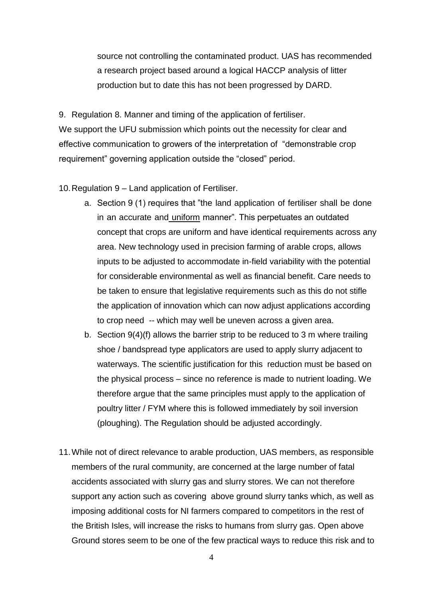source not controlling the contaminated product. UAS has recommended a research project based around a logical HACCP analysis of litter production but to date this has not been progressed by DARD.

9. Regulation 8. Manner and timing of the application of fertiliser. We support the UFU submission which points out the necessity for clear and effective communication to growers of the interpretation of "demonstrable crop requirement" governing application outside the "closed" period.

10.Regulation 9 – Land application of Fertiliser.

- a. Section 9 (1) requires that "the land application of fertiliser shall be done in an accurate and uniform manner". This perpetuates an outdated concept that crops are uniform and have identical requirements across any area. New technology used in precision farming of arable crops, allows inputs to be adjusted to accommodate in-field variability with the potential for considerable environmental as well as financial benefit. Care needs to be taken to ensure that legislative requirements such as this do not stifle the application of innovation which can now adjust applications according to crop need -- which may well be uneven across a given area.
- b. Section 9(4)(f) allows the barrier strip to be reduced to 3 m where trailing shoe / bandspread type applicators are used to apply slurry adjacent to waterways. The scientific justification for this reduction must be based on the physical process – since no reference is made to nutrient loading. We therefore argue that the same principles must apply to the application of poultry litter / FYM where this is followed immediately by soil inversion (ploughing). The Regulation should be adjusted accordingly.
- 11.While not of direct relevance to arable production, UAS members, as responsible members of the rural community, are concerned at the large number of fatal accidents associated with slurry gas and slurry stores. We can not therefore support any action such as covering above ground slurry tanks which, as well as imposing additional costs for NI farmers compared to competitors in the rest of the British Isles, will increase the risks to humans from slurry gas. Open above Ground stores seem to be one of the few practical ways to reduce this risk and to